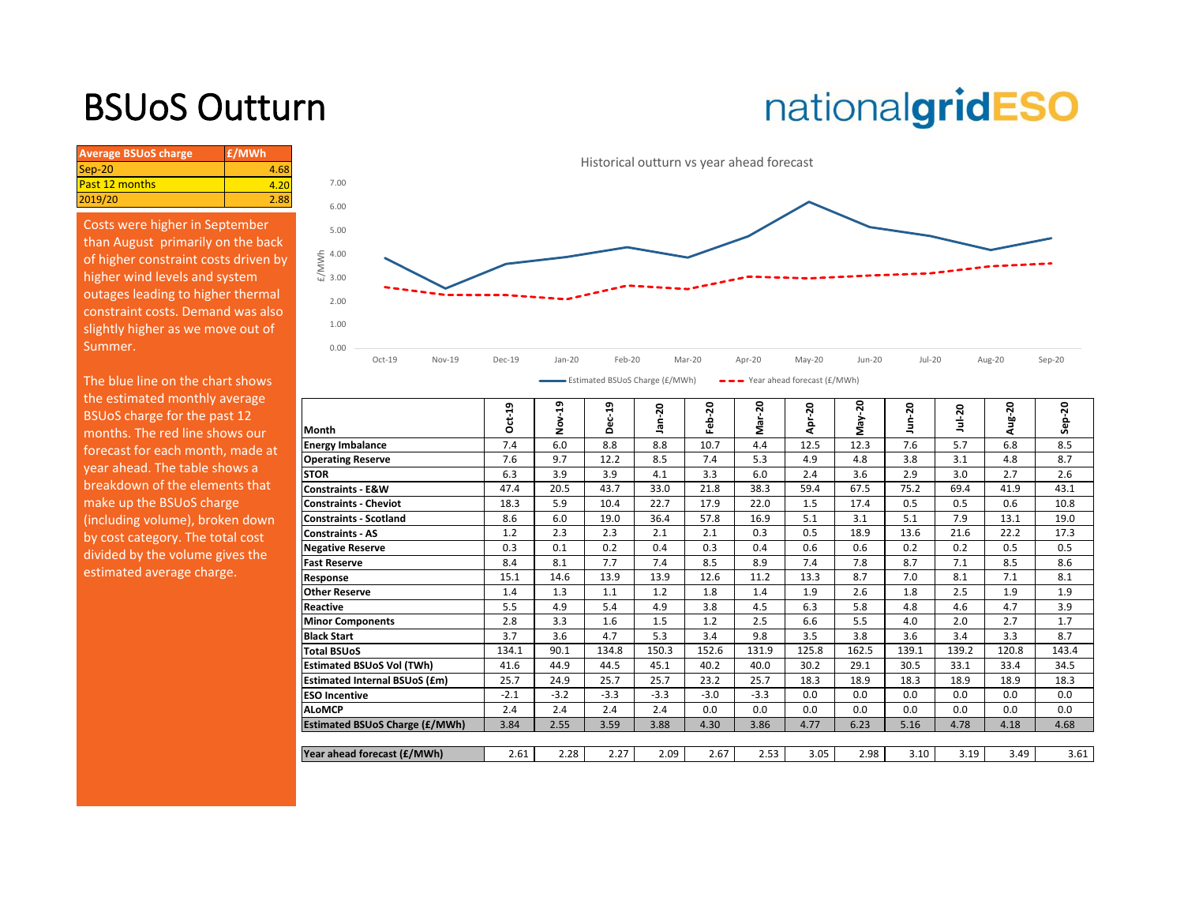### BSUoS Outturn

# nationalgridESO

| <b>Average BSUoS charge</b> | £/MWh |
|-----------------------------|-------|
| $Sep-20$                    | 4.68  |
| <b>Past 12 months</b>       | 4.20  |
| 2019/20                     | 2.88  |

Costs were higher in September than August primarily on the back of higher constraint costs driven by higher wind levels and system outages leading to higher thermal constraint costs. Demand was also slightly higher as we move out of Summer.

The blue line on the chart shows the estimated monthly average BSUoS charge for the past 12 months. The red line shows our forecast for each month, made at year ahead. The table shows a breakdown of the elements that make up the BSUoS charge (including volume), broken down by cost category. The total cost divided by the volume gives the estimated average charge.



| $1.001$ and $0.001$ and $0.000$ $1.001$<br>. |
|----------------------------------------------|
|                                              |
|                                              |

| the commuted monthly uveruse     |                                       |              | ຸດ     | o,     |         |        |         |        |               |        |        |              |              |
|----------------------------------|---------------------------------------|--------------|--------|--------|---------|--------|---------|--------|---------------|--------|--------|--------------|--------------|
| BSUoS charge for the past 12     |                                       | $ct-19$<br>Õ | ο      | 5<br>ō | 20<br>å | ន<br>웁 | នុ<br>ā | ន<br>௨ | ន្ល<br>≶<br>∑ | ຊ<br>Е | ន<br>Ë | ន<br>э.<br>Э | $-20$<br>န္တ |
| months. The red line shows our   | Month                                 |              |        | ō      |         |        |         | ā      |               |        |        |              |              |
| forecast for each month, made at | <b>Energy Imbalance</b>               | 7.4          | 6.0    | 8.8    | 8.8     | 10.7   | 4.4     | 12.5   | 12.3          | 7.6    | 5.7    | 6.8          | 8.5          |
|                                  | <b>Operating Reserve</b>              | 7.6          | 9.7    | 12.2   | 8.5     | 7.4    | 5.3     | 4.9    | 4.8           | 3.8    | 3.1    | 4.8          | 8.7          |
| year ahead. The table shows a    | <b>STOR</b>                           | 6.3          | 3.9    | 3.9    | 4.1     | 3.3    | 6.0     | 2.4    | 3.6           | 2.9    | 3.0    | 2.7          | 2.6          |
| breakdown of the elements that   | <b>Constraints - E&amp;W</b>          | 47.4         | 20.5   | 43.7   | 33.0    | 21.8   | 38.3    | 59.4   | 67.5          | 75.2   | 69.4   | 41.9         | 43.1         |
| make up the BSUoS charge         | <b>Constraints - Cheviot</b>          | 18.3         | 5.9    | 10.4   | 22.7    | 17.9   | 22.0    | 1.5    | 17.4          | 0.5    | 0.5    | 0.6          | 10.8         |
| (including volume), broken down  | <b>Constraints - Scotland</b>         | 8.6          | 6.0    | 19.0   | 36.4    | 57.8   | 16.9    | 5.1    | 3.1           | 5.1    | 7.9    | 13.1         | 19.0         |
| by cost category. The total cost | <b>Constraints - AS</b>               | 1.2          | 2.3    | 2.3    | 2.1     | 2.1    | 0.3     | 0.5    | 18.9          | 13.6   | 21.6   | 22.2         | 17.3         |
| divided by the volume gives the  | <b>Negative Reserve</b>               | 0.3          | 0.1    | 0.2    | 0.4     | 0.3    | 0.4     | 0.6    | 0.6           | 0.2    | 0.2    | 0.5          | 0.5          |
|                                  | <b>Fast Reserve</b>                   | 8.4          | 8.1    | 7.7    | 7.4     | 8.5    | 8.9     | 7.4    | 7.8           | 8.7    | 7.1    | 8.5          | 8.6          |
| estimated average charge.        | Response                              | 15.1         | 14.6   | 13.9   | 13.9    | 12.6   | 11.2    | 13.3   | 8.7           | 7.0    | 8.1    | 7.1          | 8.1          |
|                                  | <b>Other Reserve</b>                  | 1.4          | 1.3    | 1.1    | 1.2     | 1.8    | 1.4     | 1.9    | 2.6           | 1.8    | 2.5    | 1.9          | 1.9          |
|                                  | Reactive                              | 5.5          | 4.9    | 5.4    | 4.9     | 3.8    | 4.5     | 6.3    | 5.8           | 4.8    | 4.6    | 4.7          | 3.9          |
|                                  | <b>Minor Components</b>               | 2.8          | 3.3    | 1.6    | 1.5     | 1.2    | 2.5     | 6.6    | 5.5           | 4.0    | 2.0    | 2.7          | 1.7          |
|                                  | <b>Black Start</b>                    | 3.7          | 3.6    | 4.7    | 5.3     | 3.4    | 9.8     | 3.5    | 3.8           | 3.6    | 3.4    | 3.3          | 8.7          |
|                                  | <b>Total BSUoS</b>                    | 134.1        | 90.1   | 134.8  | 150.3   | 152.6  | 131.9   | 125.8  | 162.5         | 139.1  | 139.2  | 120.8        | 143.4        |
|                                  | <b>Estimated BSUoS Vol (TWh)</b>      | 41.6         | 44.9   | 44.5   | 45.1    | 40.2   | 40.0    | 30.2   | 29.1          | 30.5   | 33.1   | 33.4         | 34.5         |
|                                  | <b>Estimated Internal BSUoS (£m)</b>  | 25.7         | 24.9   | 25.7   | 25.7    | 23.2   | 25.7    | 18.3   | 18.9          | 18.3   | 18.9   | 18.9         | 18.3         |
|                                  | <b>ESO Incentive</b>                  | $-2.1$       | $-3.2$ | $-3.3$ | $-3.3$  | $-3.0$ | $-3.3$  | 0.0    | 0.0           | 0.0    | 0.0    | 0.0          | 0.0          |
|                                  | <b>ALOMCP</b>                         | 2.4          | 2.4    | 2.4    | 2.4     | 0.0    | 0.0     | 0.0    | 0.0           | 0.0    | 0.0    | 0.0          | 0.0          |
|                                  | <b>Estimated BSUoS Charge (£/MWh)</b> | 3.84         | 2.55   | 3.59   | 3.88    | 4.30   | 3.86    | 4.77   | 6.23          | 5.16   | 4.78   | 4.18         | 4.68         |
|                                  |                                       |              |        |        |         |        |         |        |               |        |        |              |              |
|                                  | Year ahead forecast (£/MWh)           | 2.61         | 2.28   | 2.27   | 2.09    | 2.67   | 2.53    | 3.05   | 2.98          | 3.10   | 3.19   | 3.49         | 3.61         |
|                                  |                                       |              |        |        |         |        |         |        |               |        |        |              |              |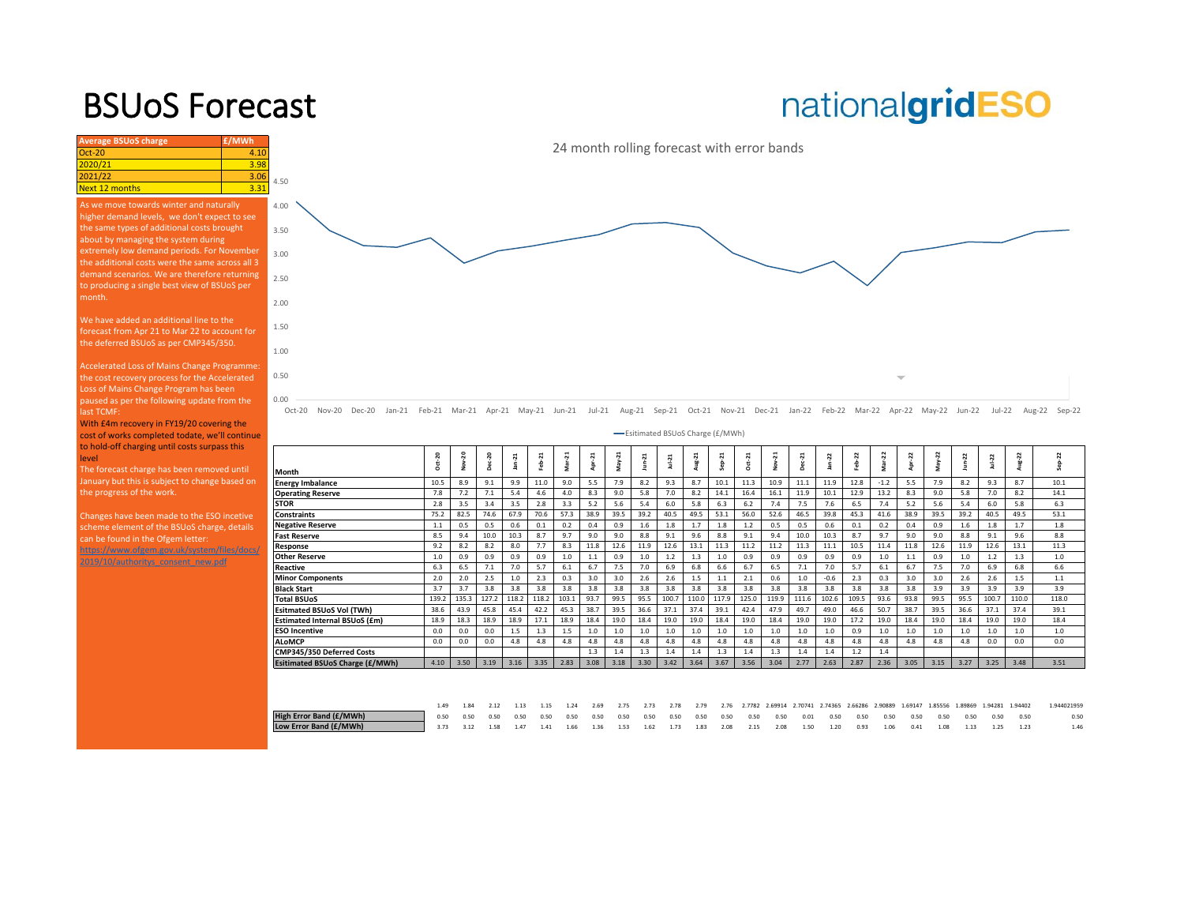### BSUoS Forecast

## nationalgridESO

| <b>Average BSUoS charge</b>                     | £/MWh |                                                  |
|-------------------------------------------------|-------|--------------------------------------------------|
| $Oct-20$                                        | 4.10  |                                                  |
| 2020/21                                         | 3.98  |                                                  |
| 2021/22                                         | 3.06  | 4.50                                             |
| <b>Next 12 months</b>                           | 3.31  |                                                  |
| As we move towards winter and naturally         |       | 4.00                                             |
| higher demand levels, we don't expect to see    |       |                                                  |
| the same types of additional costs brought      |       | 3.50                                             |
| about by managing the system during             |       |                                                  |
| extremely low demand periods. For November      |       | 3.00                                             |
| the additional costs were the same across all 3 |       |                                                  |
| demand scenarios. We are therefore returning    |       | 2.50                                             |
| to producing a single best view of BSUoS per    |       |                                                  |
| month.                                          |       | 2.00                                             |
|                                                 |       |                                                  |
| We have added an additional line to the         |       | 1.50                                             |
| forecast from Apr 21 to Mar 22 to account for   |       |                                                  |
| the deferred BSUoS as per CMP345/350.           |       |                                                  |
|                                                 |       | 1.00                                             |
| Accelerated Loss of Mains Change Programme:     |       |                                                  |
| the cost recovery process for the Accelerated   |       | 0.50                                             |
| Loss of Mains Change Program has been           |       |                                                  |
| paused as per the following update from the     |       | 0.00                                             |
| last TCMF:                                      |       | $Oct-20$<br>Nov-2                                |
| With £4m recovery in FY19/20 covering the       |       |                                                  |
| cost of works completed todate, we'll continue  |       |                                                  |
| to hold-off charging until costs surpass this   |       |                                                  |
| level                                           |       |                                                  |
| The forecast charge has been removed until      |       | Month                                            |
| January but this is subject to change based on  |       | <b>Energy Imbalance</b>                          |
| the progress of the work.                       |       | <b>Operating Reserve</b>                         |
|                                                 |       | <b>STOR</b>                                      |
| Changes have been made to the ESO incetive      |       | Constraints                                      |
| scheme element of the BSUoS charge, details     |       | <b>Negative Reserve</b><br><b>Fast Reserve</b>   |
| can be found in the Ofgem letter:               |       | Response                                         |
| https://www.ofgem.gov.uk/system/files/docs/     |       | <b>Other Reserve</b>                             |
| 2019/10/authoritys consent new.pdf              |       | Reactive                                         |
|                                                 |       | <b>Minor Component</b>                           |
|                                                 |       | <b>Black Start</b>                               |
|                                                 |       | <b>Total BSUoS</b>                               |
|                                                 |       | <b>Esitmated BSUoS</b>                           |
|                                                 |       | <b>Estimated Interna</b><br><b>ESO Incentive</b> |
|                                                 |       | <b>ALoMCP</b>                                    |
|                                                 |       | CMP345/350 Defe                                  |
|                                                 |       | <b>Esitimated BSUoS</b>                          |
|                                                 |       |                                                  |
|                                                 |       | <b>High Error Band (f</b><br>Low Error Band (£   |
|                                                 |       |                                                  |
|                                                 |       |                                                  |

24 month rolling forecast with error bands

Oct-20 Nov-20 Dec-20 Jan-21 Feb-21 Mar-21 Apr-21 May-21 Jun-21 Jul-21 Aug-21 Sep-21 Oct-21 Nov-21 Dec-21 Jan-22 Feb-22 Mar-22 Apr-22 May-22 Jun-22 Jul-22 Aug-22 Sep-22

| -Esitimated BSUoS Charge (£/MWh) |        |                |       |         |           |          |        |                |         |          |        |                        |       |                    |                 |         |         |        |      |          |        |            |       |         |  |
|----------------------------------|--------|----------------|-------|---------|-----------|----------|--------|----------------|---------|----------|--------|------------------------|-------|--------------------|-----------------|---------|---------|--------|------|----------|--------|------------|-------|---------|--|
| Month                            | Oct-20 | $\overline{2}$ | 20    | $an-21$ | ដ<br>Feb. | $Mar-21$ | Apr-21 | $\overline{a}$ | $un-21$ | $Jul-21$ | Aug-21 | $\overline{a}$<br>Sep- |       | $\ddot{ }$<br>Nov- | $\overline{21}$ | 22<br>â | 22<br>숌 | Mar-22 | 2    | $May-22$ | Jun-22 | $JuL - 22$ | 2     | $ep-22$ |  |
| <b>Energy Imbalance</b>          | 10.5   | 8.9            | 9.1   | 9.9     | 11.0      | 9.0      | 5.5    | 7.9            | 8.2     | 9.3      | 8.7    | 10.1                   | 11.3  | 10.9               | 11.1            | 11.9    | 12.8    | $-1.2$ | 5.5  | 7.9      | 8.2    | 9.3        | 8.7   | 10.1    |  |
| <b>Operating Reserve</b>         | 7.8    | 7.2            | 7.1   | 5.4     | 4.6       | 4.0      | 8.3    | 9.0            | 5.8     | 7.0      | 8.2    | 14.1                   | 16.4  | 16.1               | 11.9            | 10.1    | 12.9    | 13.2   | 8.3  | 9.0      | 5.8    | 7.0        | 8.2   | 14.1    |  |
| <b>STOR</b>                      | 2.8    | 3.5            | 3.4   | 3.5     | 2.8       | 3.3      | 5.2    | 5.6            | 5.4     | 6.0      | 5.8    | 6.3                    | 6.2   | 7.4                | 7.5             | 7.6     | 6.5     | 7.4    | 5.2  | 5.6      | 5.4    | 6.0        | 5.8   | 6.3     |  |
| <b>Constraints</b>               | 75.2   | 82.5           | 74.6  | 67.9    | 70.6      | 57.3     | 38.9   | 39.5           | 39.2    | 40.5     | 49.5   | 53.1                   | 56.0  | 52.6               | 46.5            | 39.8    | 45.3    | 41.6   | 38.9 | 39.5     | 39.2   | 40.5       | 49.5  | 53.1    |  |
| <b>Negative Reserve</b>          | 1.1    | 0.5            | 0.5   | 0.6     | 0.1       | 0.2      | 0.4    | 0.9            | 1.6     | 1.8      | 1.7    | 1.8                    | 1.2   | 0.5                | 0.5             | 0.6     | 0.1     | 0.2    | 0.4  | 0.9      | 1.6    | 1.8        | 1.7   | 1.8     |  |
| <b>Fast Reserve</b>              | 8.5    | 9.4            | 10.0  | 10.3    | 8.7       | 9.7      | 9.0    | 9.0            | 8.8     | 9.1      | 9.6    | 8.8                    | 9.1   | 9.4                | 10.0            | 10.3    | 8.7     | 9.7    | 9.0  | 9.0      | 8.8    | 9.1        | 9.6   | 8.8     |  |
| Response                         | 9.2    | 8.2            | 8.2   | 8.0     | 7.7       | 8.3      | 11.8   | 12.6           | 11.9    | 12.6     | 13.1   | 11.3                   | 11.2  | 11.2               | 11.3            | 11.1    | 10.5    | 11.4   | 11.8 | 12.6     | 11.9   | 12.6       | 13.1  | 11.3    |  |
| Other Reserve                    | 1.0    | 0.9            | 0.9   | 0.9     | 0.9       | 1.0      | 1.1    | 0.9            | 1.0     | 1.2      | 1.3    | 1.0                    | 0.9   | 0.9                | 0.9             | 0.9     | 0.9     | 1.0    | 1.1  | 0.9      | 1.0    | 1.2        | 1.3   | 1.0     |  |
| Reactive                         | 6.3    | 6.5            | 7.1   | 7.0     | 5.7       | 6.1      | 6.7    | 7.5            | 7.0     | 6.9      | 6.8    | 6.6                    | 6.7   | 6.5                | 7.1             | 7.0     | 5.7     | 6.1    | 6.7  | 7.5      | 7.0    | 6.9        | 6.8   | 6.6     |  |
| <b>Minor Components</b>          | 2.0    | 2.0            | 2.5   | 1.0     | 2.3       | 0.3      | 3.0    | 3.0            | 2.6     | 2.6      | 1.5    | 1.1                    | 2.1   | 0.6                | 1.0             | $-0.6$  | 2.3     | 0.3    | 3.0  | 3.0      | 2.6    | 2.6        | 1.5   | 1.1     |  |
| Black Start                      | 3.7    | 3.7            | 3.8   | 3.8     | 3.8       | 3.8      | 3.8    | 3.8            | 3.8     | 3.8      | 3.8    | 3.8                    | 3.8   | 3.8                | 3.8             | 3.8     | 3.8     | 3.8    | 3.8  | 3.9      | 3.9    | 3.9        | 3.9   | 3.9     |  |
| <b>Total BSUoS</b>               | 139.2  | 135.3          | 127.2 | 118.2   | 118.2     | 103.1    | 93.7   | 99.5           | 95.5    | 100.7    | 110.0  | 117.9                  | 125.0 | 119.9              | 111.6           | 102.6   | 109.5   | 93.6   | 93.8 | 99.5     | 95.5   | 100.       | 110.0 | 118.0   |  |
| <b>Esitmated BSUoS Vol (TWh)</b> | 38.6   | 43.9           | 45.8  | 45.4    | 42.2      | 45.3     | 38.7   | 39.5           | 36.6    | 37.1     | 37.4   | 39.1                   | 42.4  | 47.9               | 49.7            | 49.0    | 46.6    | 50.7   | 38.7 | 39.5     | 36.6   | 37.1       | 37.4  | 39.1    |  |
| Estimated Internal BSUoS (£m)    | 18.9   | 18.3           | 18.9  | 18.9    | 17.1      | 18.9     | 18.4   | 19.0           | 18.4    | 19.0     | 19.0   | 18.4                   | 19.0  | 18.4               | 19.0            | 19.0    | 17.2    | 19.0   | 18.4 | 19.0     | 18.4   | 19.0       | 19.0  | 18.4    |  |
| <b>ESO Incentive</b>             | 0.0    | 0.0            | 0.0   | 1.5     | 1.3       | 1.5      | 1.0    | 1.0            | 1.0     | 1.0      | 1.0    | 1.0                    | 1.0   | 1.0                | 1.0             | 1.0     | 0.9     | 1.0    | 1.0  | 1.0      | 1.0    | 1.0        | 1.0   | 1.0     |  |
| <b>ALoMCP</b>                    | 0.0    | 0.0            | 0.0   | 4.8     | 4.8       | 4.8      | 4.8    | 4.8            | 4.8     | 4.8      | 4.8    | 4.8                    | 4.8   | 4.8                | 4.8             | 4.8     | 4.8     | 4.8    | 4.8  | 4.8      | 4.8    | 0.0        | 0.0   | 0.0     |  |
| CMP345/350 Deferred Costs        |        |                |       |         |           |          | 1.3    | 1.4            | 1.3     | 1.4      | 1.4    | 1.3                    | 1.4   | 1.3                | 1.4             | 1.4     | 1.2     | 1.4    |      |          |        |            |       |         |  |
| Esitimated BSUoS Charge (£/MWh)  | 4.10   | 3.50           | 3.19  | 3.16    | 3.35      | 2.83     | 3.08   | 3.18           | 3.30    | 3.42     | 3.64   | 3.67                   | 3.56  | 3.04               | 2.77            | 2.63    | 2.87    | 2.36   | 3.05 | 3.15     | 3.27   | 3.25       | 3.48  | 3.51    |  |
|                                  |        |                |       |         |           |          |        |                |         |          |        |                        |       |                    |                 |         |         |        |      |          |        |            |       |         |  |

|                         |  |  |  |  |  |  |  |  |  |  |  | 1.49 1.84 2.12 1.13 1.15 1.24 2.69 2.75 2.73 2.78 2.79 2.76 2.7782 2.69914 2.70741 2.74365 2.66286 2.90889 1.69147 1.85556 1.89869 1.94281 1.94402 | 1.944021959 |
|-------------------------|--|--|--|--|--|--|--|--|--|--|--|----------------------------------------------------------------------------------------------------------------------------------------------------|-------------|
| High Error Band (£/MWh) |  |  |  |  |  |  |  |  |  |  |  |                                                                                                                                                    | 0.50        |
| Low Error Band (£/MWh)  |  |  |  |  |  |  |  |  |  |  |  | 3.73 3.12 1.58 1.47 1.41 1.66 1.36 1.53 1.62 1.73 1.83 2.08 2.15 2.08 1.50 1.20 0.93 1.06 0.41 1.08 1.13 1.25 1.23                                 |             |